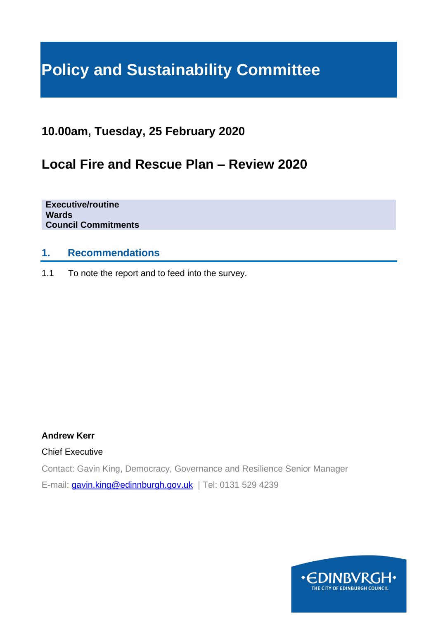# **Policy and Sustainability Committee**

# **10.00am, Tuesday, 25 February 2020**

# **Local Fire and Rescue Plan – Review 2020**

**Executive/routine Wards Council Commitments**

# **1. Recommendations**

1.1 To note the report and to feed into the survey.

### **Andrew Kerr**

Chief Executive

Contact: Gavin King, Democracy, Governance and Resilience Senior Manager E-mail: [gavin.king@edinnburgh.gov.uk](mailto:gavin.king@edinnburgh.gov.uk) | Tel: 0131 529 4239

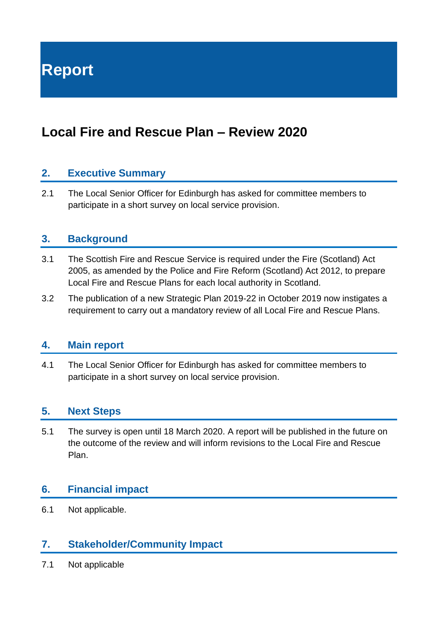**Report**

# **Local Fire and Rescue Plan – Review 2020**

# **2. Executive Summary**

2.1 The Local Senior Officer for Edinburgh has asked for committee members to participate in a short survey on local service provision.

# **3. Background**

- 3.1 The Scottish Fire and Rescue Service is required under the Fire (Scotland) Act 2005, as amended by the Police and Fire Reform (Scotland) Act 2012, to prepare Local Fire and Rescue Plans for each local authority in Scotland.
- 3.2 The publication of a new Strategic Plan 2019-22 in October 2019 now instigates a requirement to carry out a mandatory review of all Local Fire and Rescue Plans.

### **4. Main report**

4.1 The Local Senior Officer for Edinburgh has asked for committee members to participate in a short survey on local service provision.

## **5. Next Steps**

5.1 The survey is open until 18 March 2020. A report will be published in the future on the outcome of the review and will inform revisions to the Local Fire and Rescue Plan.

# **6. Financial impact**

6.1 Not applicable.

# **7. Stakeholder/Community Impact**

7.1 Not applicable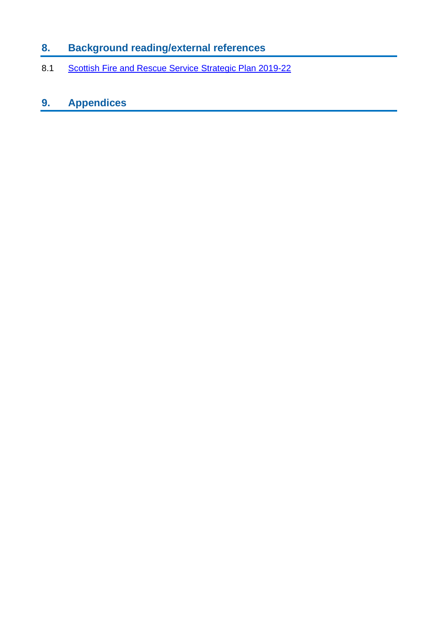# **8. Background reading/external references**

8.1 [Scottish Fire and Rescue Service Strategic Plan 2019-22](https://firescotland.citizenspace.com/planning-and-performance/local-fire-and-rescue-plan-review-2020/supporting_documents/SFRS_Strategic_Plan_201922_V1.0_FINAL%20website.pdf)

# **9. Appendices**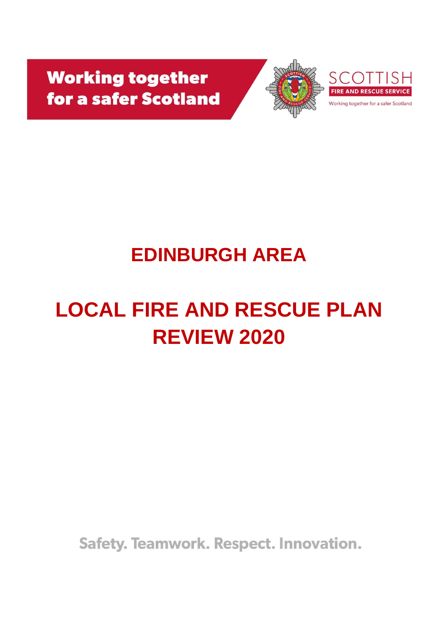**Working together** for a safer Scotland





Working together for a safer Scotland

# **EDINBURGH AREA**

# **LOCAL FIRE AND RESCUE PLAN REVIEW 2020**

**Safety. Teamwork. Respect. Innovation.**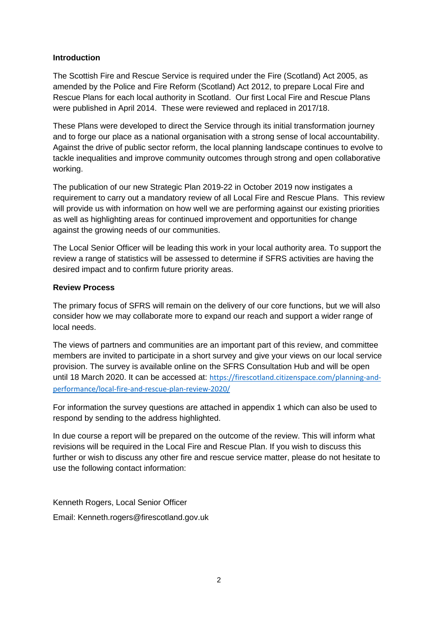#### **Introduction**

The Scottish Fire and Rescue Service is required under the Fire (Scotland) Act 2005, as amended by the Police and Fire Reform (Scotland) Act 2012, to prepare Local Fire and Rescue Plans for each local authority in Scotland. Our first Local Fire and Rescue Plans were published in April 2014. These were reviewed and replaced in 2017/18.

These Plans were developed to direct the Service through its initial transformation journey and to forge our place as a national organisation with a strong sense of local accountability. Against the drive of public sector reform, the local planning landscape continues to evolve to tackle inequalities and improve community outcomes through strong and open collaborative working.

The publication of our new Strategic Plan 2019-22 in October 2019 now instigates a requirement to carry out a mandatory review of all Local Fire and Rescue Plans. This review will provide us with information on how well we are performing against our existing priorities as well as highlighting areas for continued improvement and opportunities for change against the growing needs of our communities.

The Local Senior Officer will be leading this work in your local authority area. To support the review a range of statistics will be assessed to determine if SFRS activities are having the desired impact and to confirm future priority areas.

#### **Review Process**

The primary focus of SFRS will remain on the delivery of our core functions, but we will also consider how we may collaborate more to expand our reach and support a wider range of local needs.

The views of partners and communities are an important part of this review, and committee members are invited to participate in a short survey and give your views on our local service provision. The survey is available online on the SFRS Consultation Hub and will be open until 18 March 2020. It can be accessed at: [https://firescotland.citizenspace.com/planning-and](https://firescotland.citizenspace.com/planning-and-performance/local-fire-and-rescue-plan-review-2020/)[performance/local-fire-and-rescue-plan-review-2020/](https://firescotland.citizenspace.com/planning-and-performance/local-fire-and-rescue-plan-review-2020/)

For information the survey questions are attached in appendix 1 which can also be used to respond by sending to the address highlighted.

In due course a report will be prepared on the outcome of the review. This will inform what revisions will be required in the Local Fire and Rescue Plan. If you wish to discuss this further or wish to discuss any other fire and rescue service matter, please do not hesitate to use the following contact information:

Kenneth Rogers, Local Senior Officer Email: Kenneth.rogers@firescotland.gov.uk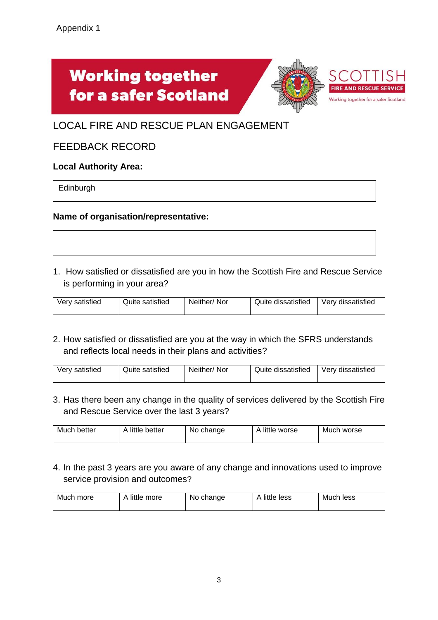# **Working together** for a safer Scotland



# LOCAL FIRE AND RESCUE PLAN ENGAGEMENT

# FEEDBACK RECORD

#### **Local Authority Area:**

Edinburgh

#### **Name of organisation/representative:**

1. How satisfied or dissatisfied are you in how the Scottish Fire and Rescue Service is performing in your area?

| Quite satisfied<br>Very satisfied | Neither/Nor | Quite dissatisfied | Very dissatisfied |
|-----------------------------------|-------------|--------------------|-------------------|
|-----------------------------------|-------------|--------------------|-------------------|

2. How satisfied or dissatisfied are you at the way in which the SFRS understands and reflects local needs in their plans and activities?

3. Has there been any change in the quality of services delivered by the Scottish Fire and Rescue Service over the last 3 years?

| A little better<br>Much better | No change | A little worse | Much worse |
|--------------------------------|-----------|----------------|------------|
|--------------------------------|-----------|----------------|------------|

4. In the past 3 years are you aware of any change and innovations used to improve service provision and outcomes?

| little more<br>Much more | No change | little less .<br>Δ<br>$\overline{\phantom{a}}$ | Much less |
|--------------------------|-----------|------------------------------------------------|-----------|
|--------------------------|-----------|------------------------------------------------|-----------|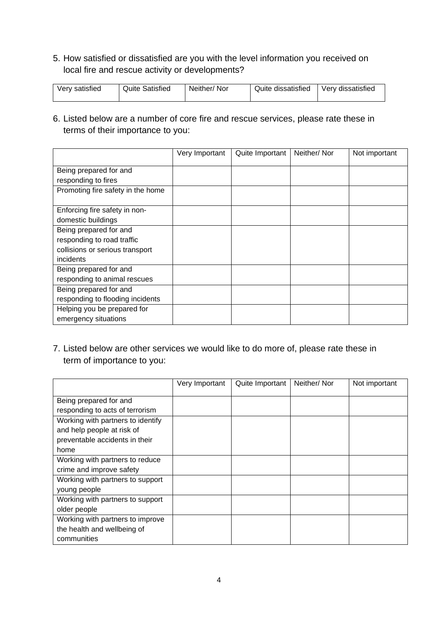5. How satisfied or dissatisfied are you with the level information you received on local fire and rescue activity or developments?

| <b>Quite Satisfied</b><br>Very satisfied | Neither/Nor | Quite dissatisfied | Very dissatisfied |
|------------------------------------------|-------------|--------------------|-------------------|
|------------------------------------------|-------------|--------------------|-------------------|

6. Listed below are a number of core fire and rescue services, please rate these in terms of their importance to you:

|                                   | Very Important | Quite Important | Neither/Nor | Not important |
|-----------------------------------|----------------|-----------------|-------------|---------------|
| Being prepared for and            |                |                 |             |               |
| responding to fires               |                |                 |             |               |
| Promoting fire safety in the home |                |                 |             |               |
| Enforcing fire safety in non-     |                |                 |             |               |
| domestic buildings                |                |                 |             |               |
| Being prepared for and            |                |                 |             |               |
| responding to road traffic        |                |                 |             |               |
| collisions or serious transport   |                |                 |             |               |
| incidents                         |                |                 |             |               |
| Being prepared for and            |                |                 |             |               |
| responding to animal rescues      |                |                 |             |               |
| Being prepared for and            |                |                 |             |               |
| responding to flooding incidents  |                |                 |             |               |
| Helping you be prepared for       |                |                 |             |               |
| emergency situations              |                |                 |             |               |

7. Listed below are other services we would like to do more of, please rate these in term of importance to you:

|                                   | Very Important | Quite Important | Neither/Nor | Not important |
|-----------------------------------|----------------|-----------------|-------------|---------------|
| Being prepared for and            |                |                 |             |               |
| responding to acts of terrorism   |                |                 |             |               |
| Working with partners to identify |                |                 |             |               |
| and help people at risk of        |                |                 |             |               |
| preventable accidents in their    |                |                 |             |               |
| home                              |                |                 |             |               |
| Working with partners to reduce   |                |                 |             |               |
| crime and improve safety          |                |                 |             |               |
| Working with partners to support  |                |                 |             |               |
| young people                      |                |                 |             |               |
| Working with partners to support  |                |                 |             |               |
| older people                      |                |                 |             |               |
| Working with partners to improve  |                |                 |             |               |
| the health and wellbeing of       |                |                 |             |               |
| communities                       |                |                 |             |               |